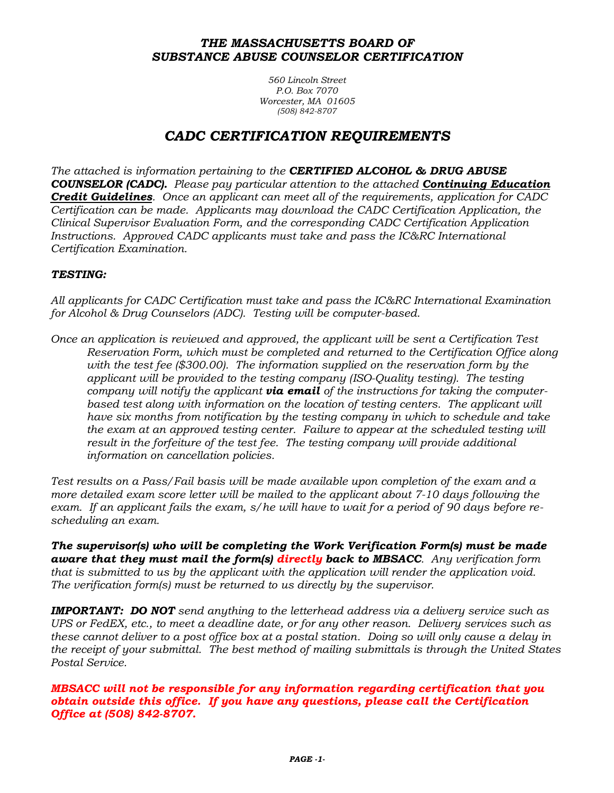#### *THE MASSACHUSETTS BOARD OF SUBSTANCE ABUSE COUNSELOR CERTIFICATION*

*560 Lincoln Street P.O. Box 7070 Worcester, MA 01605 (508) 842-8707*

# *CADC CERTIFICATION REQUIREMENTS*

*The attached is information pertaining to the CERTIFIED ALCOHOL & DRUG ABUSE COUNSELOR (CADC). Please pay particular attention to the attached Continuing Education Credit Guidelines. Once an applicant can meet all of the requirements, application for CADC Certification can be made. Applicants may download the CADC Certification Application, the Clinical Supervisor Evaluation Form, and the corresponding CADC Certification Application Instructions. Approved CADC applicants must take and pass the IC&RC International Certification Examination.*

#### *TESTING:*

*All applicants for CADC Certification must take and pass the IC&RC International Examination for Alcohol & Drug Counselors (ADC). Testing will be computer-based.*

*Once an application is reviewed and approved, the applicant will be sent a Certification Test Reservation Form, which must be completed and returned to the Certification Office along with the test fee (\$300.00). The information supplied on the reservation form by the applicant will be provided to the testing company (ISO-Quality testing). The testing company will notify the applicant via email of the instructions for taking the computerbased test along with information on the location of testing centers. The applicant will have six months from notification by the testing company in which to schedule and take the exam at an approved testing center. Failure to appear at the scheduled testing will result in the forfeiture of the test fee. The testing company will provide additional information on cancellation policies.* 

*Test results on a Pass/Fail basis will be made available upon completion of the exam and a more detailed exam score letter will be mailed to the applicant about 7-10 days following the exam. If an applicant fails the exam, s/he will have to wait for a period of 90 days before rescheduling an exam.*

*The supervisor(s) who will be completing the Work Verification Form(s) must be made aware that they must mail the form(s) directly back to MBSACC. Any verification form that is submitted to us by the applicant with the application will render the application void. The verification form(s) must be returned to us directly by the supervisor.*

*IMPORTANT: DO NOT send anything to the letterhead address via a delivery service such as UPS or FedEX, etc., to meet a deadline date, or for any other reason. Delivery services such as these cannot deliver to a post office box at a postal station. Doing so will only cause a delay in the receipt of your submittal. The best method of mailing submittals is through the United States Postal Service.*

*MBSACC will not be responsible for any information regarding certification that you obtain outside this office. If you have any questions, please call the Certification Office at (508) 842-8707.*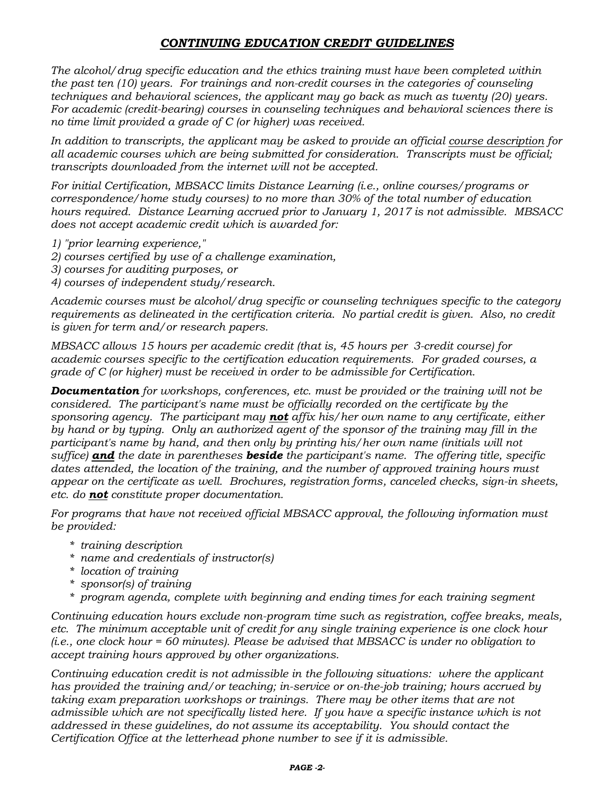### *CONTINUING EDUCATION CREDIT GUIDELINES*

*The alcohol/drug specific education and the ethics training must have been completed within the past ten (10) years. For trainings and non-credit courses in the categories of counseling techniques and behavioral sciences, the applicant may go back as much as twenty (20) years. For academic (credit-bearing) courses in counseling techniques and behavioral sciences there is no time limit provided a grade of C (or higher) was received.*

*In addition to transcripts, the applicant may be asked to provide an official course description for all academic courses which are being submitted for consideration. Transcripts must be official; transcripts downloaded from the internet will not be accepted.*

*For initial Certification, MBSACC limits Distance Learning (i.e., online courses/programs or correspondence/home study courses) to no more than 30% of the total number of education hours required. Distance Learning accrued prior to January 1, 2017 is not admissible. MBSACC does not accept academic credit which is awarded for:*

- *1) "prior learning experience,"*
- *2) courses certified by use of a challenge examination,*
- *3) courses for auditing purposes, or*
- *4) courses of independent study/research.*

*Academic courses must be alcohol/drug specific or counseling techniques specific to the category requirements as delineated in the certification criteria. No partial credit is given. Also, no credit is given for term and/or research papers.*

*MBSACC allows 15 hours per academic credit (that is, 45 hours per 3-credit course) for academic courses specific to the certification education requirements. For graded courses, a grade of C (or higher) must be received in order to be admissible for Certification.*

*Documentation for workshops, conferences, etc. must be provided or the training will not be considered. The participant's name must be officially recorded on the certificate by the sponsoring agency. The participant may not affix his/her own name to any certificate, either by hand or by typing. Only an authorized agent of the sponsor of the training may fill in the participant's name by hand, and then only by printing his/her own name (initials will not suffice) and the date in parentheses beside the participant's name. The offering title, specific dates attended, the location of the training, and the number of approved training hours must appear on the certificate as well. Brochures, registration forms, canceled checks, sign-in sheets, etc. do not constitute proper documentation.*

*For programs that have not received official MBSACC approval, the following information must be provided:*

- *\* training description*
- *\* name and credentials of instructor(s)*
- *\* location of training*
- *\* sponsor(s) of training*
- *\* program agenda, complete with beginning and ending times for each training segment*

*Continuing education hours exclude non-program time such as registration, coffee breaks, meals, etc. The minimum acceptable unit of credit for any single training experience is one clock hour (i.e., one clock hour = 60 minutes). Please be advised that MBSACC is under no obligation to accept training hours approved by other organizations.*

*Continuing education credit is not admissible in the following situations: where the applicant has provided the training and/or teaching; in-service or on-the-job training; hours accrued by taking exam preparation workshops or trainings. There may be other items that are not admissible which are not specifically listed here. If you have a specific instance which is not addressed in these guidelines, do not assume its acceptability. You should contact the Certification Office at the letterhead phone number to see if it is admissible.*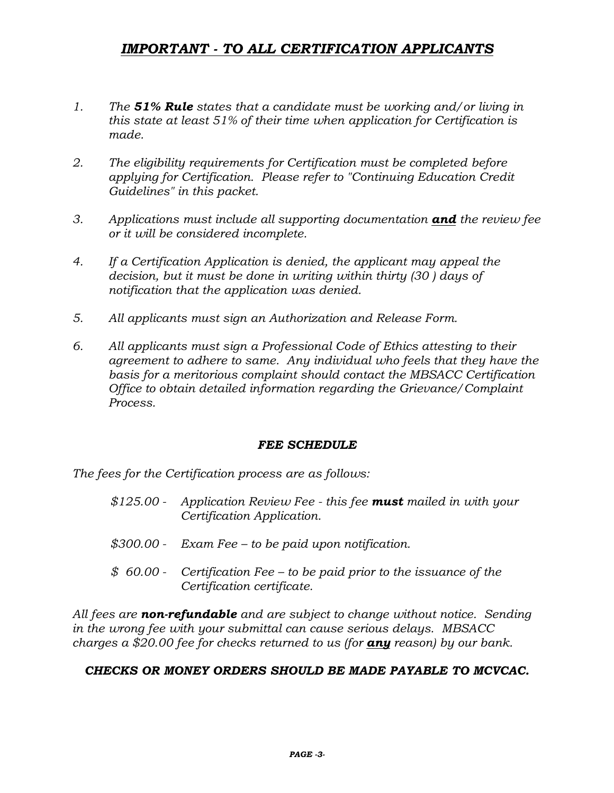# *IMPORTANT - TO ALL CERTIFICATION APPLICANTS*

- *1. The 51% Rule states that a candidate must be working and/or living in this state at least 51% of their time when application for Certification is made.*
- *2. The eligibility requirements for Certification must be completed before applying for Certification. Please refer to "Continuing Education Credit Guidelines" in this packet.*
- *3. Applications must include all supporting documentation and the review fee or it will be considered incomplete.*
- *4. If a Certification Application is denied, the applicant may appeal the decision, but it must be done in writing within thirty (30 ) days of notification that the application was denied.*
- *5. All applicants must sign an Authorization and Release Form.*
- *6. All applicants must sign a Professional Code of Ethics attesting to their agreement to adhere to same. Any individual who feels that they have the basis for a meritorious complaint should contact the MBSACC Certification Office to obtain detailed information regarding the Grievance/Complaint Process.*

### *FEE SCHEDULE*

*The fees for the Certification process are as follows:*

- *\$125.00 - Application Review Fee - this fee must mailed in with your Certification Application.*
- *\$300.00 - Exam Fee – to be paid upon notification.*
- *\$ 60.00 - Certification Fee – to be paid prior to the issuance of the Certification certificate.*

*All fees are non-refundable and are subject to change without notice. Sending in the wrong fee with your submittal can cause serious delays. MBSACC charges a \$20.00 fee for checks returned to us (for any reason) by our bank.*

### *CHECKS OR MONEY ORDERS SHOULD BE MADE PAYABLE TO MCVCAC.*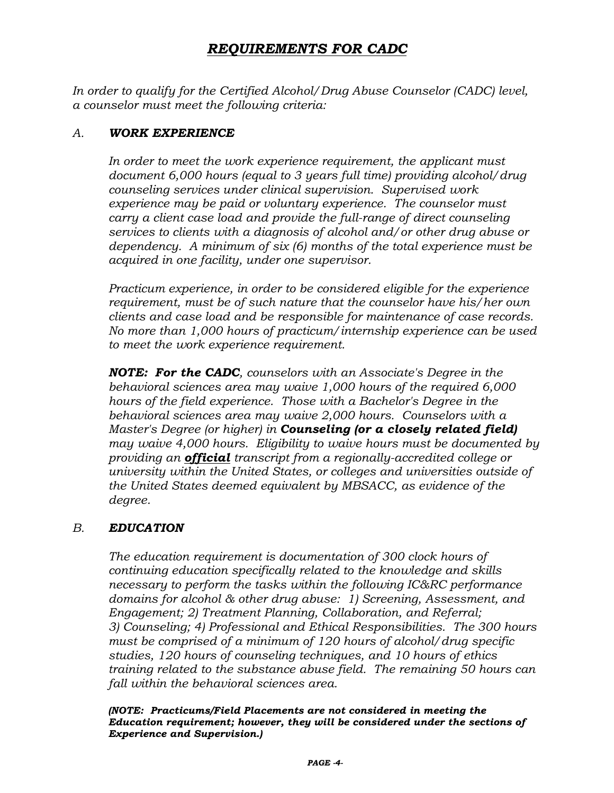# *REQUIREMENTS FOR CADC*

*In order to qualify for the Certified Alcohol/Drug Abuse Counselor (CADC) level, a counselor must meet the following criteria:*

### *A. WORK EXPERIENCE*

In order to meet the work experience requirement, the applicant must *document 6,000 hours (equal to 3 years full time) providing alcohol/drug counseling services under clinical supervision. Supervised work experience may be paid or voluntary experience. The counselor must carry a client case load and provide the full-range of direct counseling services to clients with a diagnosis of alcohol and/or other drug abuse or dependency. A minimum of six (6) months of the total experience must be acquired in one facility, under one supervisor.*

*Practicum experience, in order to be considered eligible for the experience requirement, must be of such nature that the counselor have his/her own clients and case load and be responsible for maintenance of case records. No more than 1,000 hours of practicum/internship experience can be used to meet the work experience requirement.*

*NOTE: For the CADC, counselors with an Associate's Degree in the behavioral sciences area may waive 1,000 hours of the required 6,000 hours of the field experience. Those with a Bachelor's Degree in the behavioral sciences area may waive 2,000 hours. Counselors with a Master's Degree (or higher) in Counseling (or a closely related field) may waive 4,000 hours. Eligibility to waive hours must be documented by providing an official transcript from a regionally-accredited college or university within the United States, or colleges and universities outside of the United States deemed equivalent by MBSACC, as evidence of the degree.*

## *B. EDUCATION*

*The education requirement is documentation of 300 clock hours of continuing education specifically related to the knowledge and skills necessary to perform the tasks within the following IC&RC performance domains for alcohol & other drug abuse: 1) Screening, Assessment, and Engagement; 2) Treatment Planning, Collaboration, and Referral; 3) Counseling; 4) Professional and Ethical Responsibilities. The 300 hours must be comprised of a minimum of 120 hours of alcohol/drug specific studies, 120 hours of counseling techniques, and 10 hours of ethics training related to the substance abuse field. The remaining 50 hours can fall within the behavioral sciences area.*

*(NOTE: Practicums/Field Placements are not considered in meeting the Education requirement; however, they will be considered under the sections of Experience and Supervision.)*